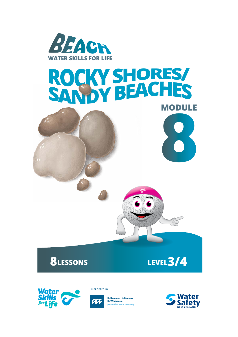

# ROCKY SHORES **MODULE**



**8LESSONS LEVEL3/4**



**SUPPORTED BY** 



He Kaupare. He Manaak<br>He Whakaora. prevention.care.recovery



**8**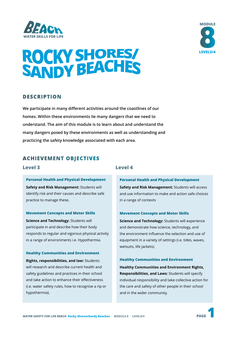



#### **DESCRIPTION**

**We participate in many different activities around the coastlines of our homes. Within these environments lie many dangers that we need to understand. The aim of this module is to learn about and understand the many dangers posed by these environments as well as understanding and practicing the safety knowledge associated with each area.** 

#### **ACHIEVEMENT OBJECTIVES**

#### **Level 3**

**Level 4**

**Personal Health and Physical Development Safety and Risk Management:** Students will identify risk and their causes and describe safe practice to manage these.

#### **Movement Concepts and Motor Skills**

**Science and Technology:** Students will participate in and describe how their body responds to regular and vigorous physical activity in a range of environments i.e. Hypothermia.

**Healthy Communities and Environment Rights, responsibilities, and law:** Students will research and describe current health and safety guidelines and practices in their school and take action to enhance their effectiveness (i.e. water safety rules, how to recognise a rip or hypothermia).

#### **Personal Health and Physical Development**

**Safety and Risk Management:** Students will access and use information to make and action safe choices in a range of contexts

#### **Movement Concepts and Motor Skills**

**Science and Technology:** Students will experience and demonstrate how science, technology, and the environment influence the selection and use of equipment in a variety of settings (i.e. tides, waves, wetsuits, life jackets).

#### **Healthy Communities and Environment**

**Healthy Communities and Environment Rights, Responsibilities, and Laws:** Students will specify individual responsibility and take collective action for the care and safety of other people in their school and in the wider community.



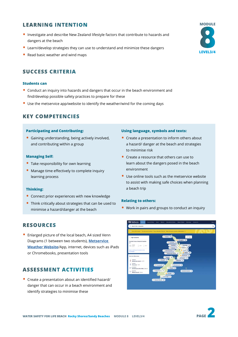#### **LEARNING INTENTION**

- Investigate and describe New Zealand lifestyle factors that contribute to hazards and dangers at the beach
- Learn/develop strategies they can use to understand and minimize these dangers
- Read basic weather and wind maps

### **SUCCESS CRITERIA**

#### **Students can**

- Conduct an inquiry into hazards and dangers that occur in the beach environment and find/develop possible safety practices to prepare for these
- Use the metservice app/website to identify the weather/wind for the coming days

#### **KEY COMPETENCIES**

#### **Participating and Contributing:**

• Gaining understanding, being actively involved, and contributing within a group

#### **Managing Self:**

- Take responsibility for own learning
- Manage time effectively to complete inquiry learning process

#### **Thinking:**

- Connect prior experiences with new knowledge
- Think critically about strategies that can be used to minimise a hazard/danger at the beach

#### **RESOURCES**

• Enlarged picture of the local beach, A4 sized Venn Diagrams (1 between two students), **[Metservice](https://www.metservice.com/national)  [Weather Website](https://www.metservice.com/national)**/App, internet, devices such as iPads or Chromebooks, presentation tools

#### **ASSESSMENT ACTIVITIES**

• Create a presentation about an identified hazard/ danger that can occur in a beach environment and identify strategies to minimise these

#### **Using language, symbols and texts:**

- Create a presentation to inform others about a hazard/ danger at the beach and strategies to minimise risk
- Create a resource that others can use to learn about the dangers posed in the beach environment
- Use online tools such as the metservice website to assist with making safe choices when planning a beach trip

#### **Relating to others:**

• Work in pairs and groups to conduct an inquiry



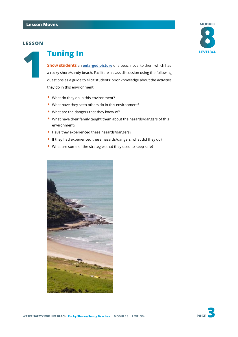#### **LESSON**



## **1 Tuning In**

**Show students** an **[enlarged picture](https://docs.google.com/document/d/e/2PACX-1vQ12r1rX6H2rpZWLk1lGxhtbl88jQ3M5Aqy-M-l7eW0bzb0tUXggZ-vogLBuFObUWUDyzHPTmvaSPPr/pub)** of a beach local to them which has a rocky shore/sandy beach. Facilitate a class discussion using the following questions as a guide to elicit students' prior knowledge about the activities they do in this environment.

- What do they do in this environment?
- What have they seen others do in this environment?
- What are the dangers that they know of?
- What have their family taught them about the hazards/dangers of this environment?
- Have they experienced these hazards/dangers?
- If they had experienced these hazards/dangers, what did they do?
- What are some of the strategies that they used to keep safe?

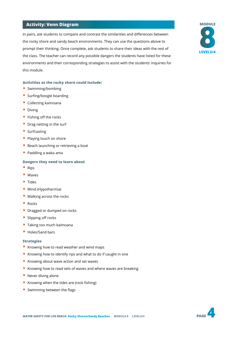#### **Activity: Venn Diagram**

In pairs, ask students to compare and contrast the similarities and differences between the rocky shore and sandy beach environments. They can use the questions above to prompt their thinking. Once complete, ask students to share their ideas with the rest of the class. The teacher can record any possible dangers the students have listed for these environments and their corresponding strategies to assist with the students' inquiries for this module.

#### **Activities at the rocky shore could include:**

- Swimming/bombing
- Surfing/boogie boarding
- Collecting kaimoana
- Diving
- Fishing off the rocks
- Drag netting in the surf
- Surfcasting
- Playing touch on shore
- Beach launching or retrieving a boat
- Paddling a waka ama

#### **Dangers they need to learn about**

- Rips
- Waves
- Tides
- Wind (Hypothermia)
- Walking across the rocks
- Rocks
- Dragged or dumped on rocks
- Slipping off rocks
- Taking too much kaimoana
- Holes/Sand bars

#### **Strategies**

- Knowing how to read weather and wind maps
- Knowing how to identify rips and what to do if caught in one
- Knowing about wave action and set waves
- Knowing how to read sets of waves and where waves are breaking
- Never diving alone
- Knowing when the tides are (rock fishing)
- Swimming between the flags



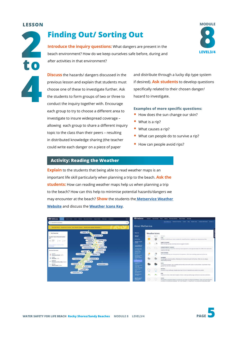#### **LESSON**



## **Finding Out/ Sorting Out**

**Introduce the inquiry questions:** What dangers are present in the beach environment? How do we keep ourselves safe before, during and after activities in that environment?



**Discuss** the hazards/ dangers discussed in the previous lesson and explain that students must choose one of these to investigate further. Ask the students to form groups of two or three to conduct the inquiry together with. Encourage each group to try to choose a different area to investigate to insure widespread coverage – allowing each group to share a different inquiry topic to the class than their peers – resulting in distributed knowledge sharing (the teacher could write each danger on a piece of paper

and distribute through a lucky dip type system if desired). **Ask students** to develop questions specifically related to their chosen danger/ hazard to investigate.

#### **Examples of more specific questions:**

- How does the sun change our skin?
- What is a rip?
- What causes a rip?
- What can people do to survive a rip?
- How can people avoid rips?

#### **Activity: Reading the Weather**

**Explain** to the students that being able to read weather maps is an important life skill particularly when planning a trip to the beach. **Ask the students:** How can reading weather maps help us when planning a trip to the beach? How can this help to minimise potential hazards/dangers we may encounter at the beach? **Show** the students the **[Metservice Weather](http:// Metservice Weather Website)  [Website](http:// Metservice Weather Website)** and discuss the **[Weather Icons Key](https://about.metservice.com/our-company/learning-centre/weather-icons-explained/)**.



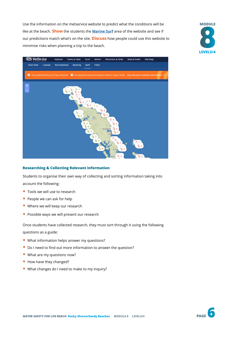Use the information on the metservice website to predict what the conditions will be like at the beach. **Show** the students the **[Marine Surf](https://www.metservice.com/marine/regions/northland/surf)** area of the website and see if our predictions match what's on the site. **Discuss** how people could use this website to minimise risks when planning a trip to the beach.





#### **Researching & Collecting Relevant Information**

Students to organise their own way of collecting and sorting information taking into account the following:

- Tools we will use to research
- People we can ask for help
- Where we will keep our research
- Possible ways we will present our research

Once students have collected research, they must sort through it using the following questions as a guide:

- What information helps answer my questions?
- Do I need to find out more information to answer the question?
- What are my questions now?
- How have they changed?
- What changes do I need to make to my inquiry?